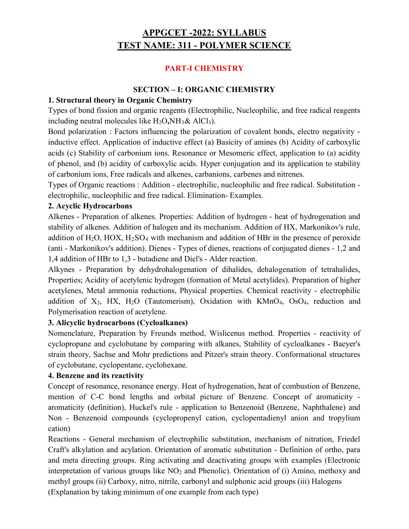# APPGCET -2022: SYLLABUS TEST NAME: 311 - POLYMER SCIENCE

# PART-I CHEMISTRY

### SECTION – I: ORGANIC CHEMISTRY

### 1. Structural theory in Organic Chemistry

Types of bond fission and organic reagents (Electrophilic, Nucleophilic, and free radical reagents including neutral molecules like  $H_2O,NH_3\&\text{ AlCl}_3$ ).

Bond polarization : Factors influencing the polarization of covalent bonds, electro negativity inductive effect. Application of inductive effect (a) Basicity of amines (b) Acidity of carboxylic acids (c) Stability of carbonium ions. Resonance or Mesomeric effect, application to (a) acidity of phenol, and (b) acidity of carboxylic acids. Hyper conjugation and its application to stability of carbonium ions, Free radicals and alkenes, carbanions, carbenes and nitrenes.

Types of Organic reactions : Addition - electrophilic, nucleophilic and free radical. Substitution electrophilic, nucleophilic and free radical. Elimination- Examples.

#### 2. Acyclic Hydrocarbons

Alkenes - Preparation of alkenes. Properties: Addition of hydrogen - heat of hydrogenation and stability of alkenes. Addition of halogen and its mechanism. Addition of HX, Markonikov's rule, addition of  $H_2O$ ,  $HOX$ ,  $H_2SO_4$  with mechanism and addition of HBr in the presence of peroxide (anti - Markonikov's addition). Dienes - Types of dienes, reactions of conjugated dienes - 1,2 and 1,4 addition of HBr to 1,3 - butadiene and Diel's - Alder reaction.

Alkynes - Preparation by dehydrohalogenation of dihalides, dehalogenation of tetrahalides, Properties; Acidity of acetylenic hydrogen (formation of Metal acetylides). Preparation of higher acetylenes, Metal ammonia reductions, Physical properties. Chemical reactivity - electrophilic addition of  $X_2$ , HX, H<sub>2</sub>O (Tautomerism), Oxidation with KMnO<sub>4</sub>, OsO<sub>4</sub>, reduction and Polymerisation reaction of acetylene.

# 3. Alicyclic hydrocarbons (Cycloalkanes)

Nomenclature, Preparation by Freunds method, Wislicenus method. Properties - reactivity of cyclopropane and cyclobutane by comparing with alkanes, Stability of cycloalkanes - Baeyer's strain theory, Sachse and Mohr predictions and Pitzer's strain theory. Conformational structures of cyclobutane, cyclopentane, cyclohexane.

# 4. Benzene and its reactivity

Concept of resonance, resonance energy. Heat of hydrogenation, heat of combustion of Benzene, mention of C-C bond lengths and orbital picture of Benzene. Concept of aromaticity aromaticity (definition), Huckel's rule - application to Benzenoid (Benzene, Naphthalene) and Non - Benzenoid compounds (cyclopropenyl cation, cyclopentadienyl anion and tropylium cation)

Reactions - General mechanism of electrophilic substitution, mechanism of nitration, Friedel Craft's alkylation and acylation. Orientation of aromatic substitution - Definition of ortho, para and meta directing groups. Ring activating and deactivating groups with examples (Electronic interpretation of various groups like NO<sub>2</sub> and Phenolic). Orientation of (i) Amino, methoxy and methyl groups (ii) Carboxy, nitro, nitrile, carbonyl and sulphonic acid groups (iii) Halogens

(Explanation by taking minimum of one example from each type)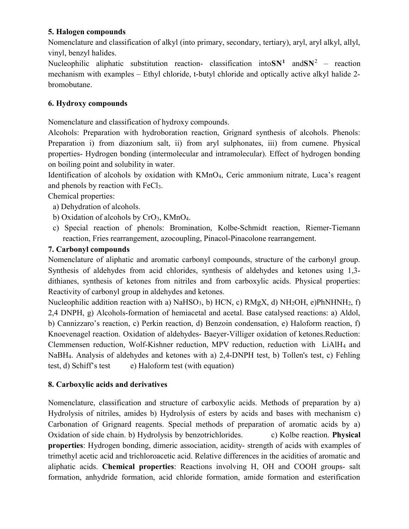# 5. Halogen compounds

Nomenclature and classification of alkyl (into primary, secondary, tertiary), aryl, aryl alkyl, allyl, vinyl, benzyl halides.

Nucleophilic aliphatic substitution reaction- classification into  $SN<sup>1</sup>$  and  $SN<sup>2</sup>$  – reaction mechanism with examples – Ethyl chloride, t-butyl chloride and optically active alkyl halide 2 bromobutane.

# 6. Hydroxy compounds

Nomenclature and classification of hydroxy compounds.

Alcohols: Preparation with hydroboration reaction, Grignard synthesis of alcohols. Phenols: Preparation i) from diazonium salt, ii) from aryl sulphonates, iii) from cumene. Physical properties- Hydrogen bonding (intermolecular and intramolecular). Effect of hydrogen bonding on boiling point and solubility in water.

Identification of alcohols by oxidation with KMnO4, Ceric ammonium nitrate, Luca's reagent and phenols by reaction with FeCl3.

Chemical properties:

a) Dehydration of alcohols.

- b) Oxidation of alcohols by CrO3, KMnO4.
- c) Special reaction of phenols: Bromination, Kolbe-Schmidt reaction, Riemer-Tiemann reaction, Fries rearrangement, azocoupling, Pinacol-Pinacolone rearrangement.

# 7. Carbonyl compounds

Nomenclature of aliphatic and aromatic carbonyl compounds, structure of the carbonyl group. Synthesis of aldehydes from acid chlorides, synthesis of aldehydes and ketones using 1,3 dithianes, synthesis of ketones from nitriles and from carboxylic acids. Physical properties: Reactivity of carbonyl group in aldehydes and ketones.

Nucleophilic addition reaction with a) NaHSO<sub>3</sub>, b) HCN, c) RMgX, d) NH<sub>2</sub>OH, e)PhNHNH<sub>2</sub>, f) 2,4 DNPH, g) Alcohols-formation of hemiacetal and acetal. Base catalysed reactions: a) Aldol, b) Cannizzaro's reaction, c) Perkin reaction, d) Benzoin condensation, e) Haloform reaction, f) Knoevenagel reaction. Oxidation of aldehydes- Baeyer-Villiger oxidation of ketones.Reduction: Clemmensen reduction, Wolf-Kishner reduction, MPV reduction, reduction with LiAlH4 and NaBH4. Analysis of aldehydes and ketones with a) 2,4-DNPH test, b) Tollen's test, c) Fehling test, d) Schiff's test  $\qquad$  e) Haloform test (with equation)

# 8. Carboxylic acids and derivatives

Nomenclature, classification and structure of carboxylic acids. Methods of preparation by a) Hydrolysis of nitriles, amides b) Hydrolysis of esters by acids and bases with mechanism c) Carbonation of Grignard reagents. Special methods of preparation of aromatic acids by a) Oxidation of side chain. b) Hydrolysis by benzotrichlorides. c) Kolbe reaction. Physical properties: Hydrogen bonding, dimeric association, acidity- strength of acids with examples of trimethyl acetic acid and trichloroacetic acid. Relative differences in the acidities of aromatic and aliphatic acids. Chemical properties: Reactions involving H, OH and COOH groups- salt formation, anhydride formation, acid chloride formation, amide formation and esterification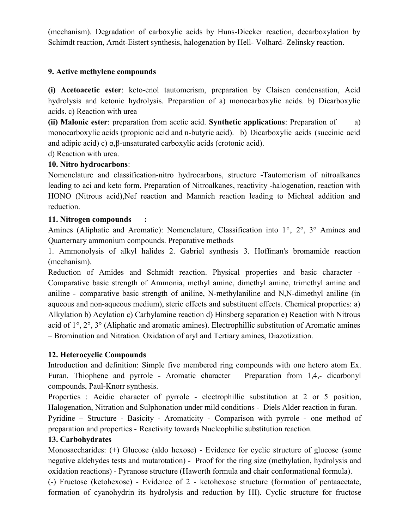(mechanism). Degradation of carboxylic acids by Huns-Diecker reaction, decarboxylation by Schimdt reaction, Arndt-Eistert synthesis, halogenation by Hell- Volhard- Zelinsky reaction.

# 9. Active methylene compounds

(i) Acetoacetic ester: keto-enol tautomerism, preparation by Claisen condensation, Acid hydrolysis and ketonic hydrolysis. Preparation of a) monocarboxylic acids. b) Dicarboxylic acids. c) Reaction with urea

(ii) Malonic ester: preparation from acetic acid. Synthetic applications: Preparation of a) monocarboxylic acids (propionic acid and n-butyric acid). b) Dicarboxylic acids (succinic acid and adipic acid) c) α,β-unsaturated carboxylic acids (crotonic acid).

# d) Reaction with urea.

# 10. Nitro hydrocarbons:

Nomenclature and classification-nitro hydrocarbons, structure -Tautomerism of nitroalkanes leading to aci and keto form, Preparation of Nitroalkanes, reactivity -halogenation, reaction with HONO (Nitrous acid),Nef reaction and Mannich reaction leading to Micheal addition and reduction.

# 11. Nitrogen compounds :

Amines (Aliphatic and Aromatic): Nomenclature, Classification into 1°, 2°, 3° Amines and Quarternary ammonium compounds. Preparative methods –

1. Ammonolysis of alkyl halides 2. Gabriel synthesis 3. Hoffman's bromamide reaction (mechanism).

Reduction of Amides and Schmidt reaction. Physical properties and basic character - Comparative basic strength of Ammonia, methyl amine, dimethyl amine, trimethyl amine and aniline - comparative basic strength of aniline, N-methylaniline and N,N-dimethyl aniline (in aqueous and non-aqueous medium), steric effects and substituent effects. Chemical properties: a) Alkylation b) Acylation c) Carbylamine reaction d) Hinsberg separation e) Reaction with Nitrous acid of 1°, 2°, 3° (Aliphatic and aromatic amines). Electrophillic substitution of Aromatic amines – Bromination and Nitration. Oxidation of aryl and Tertiary amines, Diazotization.

# 12. Heterocyclic Compounds

Introduction and definition: Simple five membered ring compounds with one hetero atom Ex. Furan. Thiophene and pyrrole - Aromatic character – Preparation from 1,4,- dicarbonyl compounds, Paul-Knorr synthesis.

Properties : Acidic character of pyrrole - electrophillic substitution at 2 or 5 position, Halogenation, Nitration and Sulphonation under mild conditions - Diels Alder reaction in furan.

Pyridine – Structure - Basicity - Aromaticity - Comparison with pyrrole - one method of preparation and properties - Reactivity towards Nucleophilic substitution reaction.

# 13. Carbohydrates

Monosaccharides: (+) Glucose (aldo hexose) - Evidence for cyclic structure of glucose (some negative aldehydes tests and mutarotation) - Proof for the ring size (methylation, hydrolysis and oxidation reactions) - Pyranose structure (Haworth formula and chair conformational formula).

(-) Fructose (ketohexose) - Evidence of 2 - ketohexose structure (formation of pentaacetate, formation of cyanohydrin its hydrolysis and reduction by HI). Cyclic structure for fructose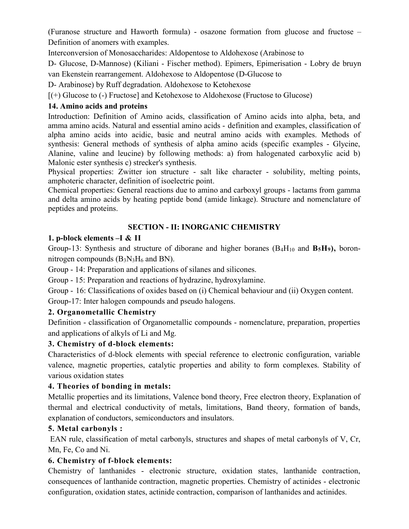(Furanose structure and Haworth formula) - osazone formation from glucose and fructose – Definition of anomers with examples.

Interconversion of Monosaccharides: Aldopentose to Aldohexose (Arabinose to

D- Glucose, D-Mannose) (Kiliani - Fischer method). Epimers, Epimerisation - Lobry de bruyn van Ekenstein rearrangement. Aldohexose to Aldopentose (D-Glucose to

D- Arabinose) by Ruff degradation. Aldohexose to Ketohexose

[(+) Glucose to (-) Fructose] and Ketohexose to Aldohexose (Fructose to Glucose)

# 14. Amino acids and proteins

Introduction: Definition of Amino acids, classification of Amino acids into alpha, beta, and amma amino acids. Natural and essential amino acids - definition and examples, classification of alpha amino acids into acidic, basic and neutral amino acids with examples. Methods of synthesis: General methods of synthesis of alpha amino acids (specific examples - Glycine, Alanine, valine and leucine) by following methods: a) from halogenated carboxylic acid b) Malonic ester synthesis c) strecker's synthesis.

Physical properties: Zwitter ion structure - salt like character - solubility, melting points, amphoteric character, definition of isoelectric point.

Chemical properties: General reactions due to amino and carboxyl groups - lactams from gamma and delta amino acids by heating peptide bond (amide linkage). Structure and nomenclature of peptides and proteins.

# SECTION - II: INORGANIC CHEMISTRY

# 1. p-block elements –I & II

Group-13: Synthesis and structure of diborane and higher boranes  $(B_4H_{10}$  and  $B_5H_9)$ , boronnitrogen compounds  $(B_3N_3H_6$  and BN).

Group - 14: Preparation and applications of silanes and silicones.

Group - 15: Preparation and reactions of hydrazine, hydroxylamine.

Group - 16: Classifications of oxides based on (i) Chemical behaviour and (ii) Oxygen content.

Group-17: Inter halogen compounds and pseudo halogens.

# 2. Organometallic Chemistry

Definition - classification of Organometallic compounds - nomenclature, preparation, properties and applications of alkyls of Li and Mg.

# 3. Chemistry of d-block elements:

Characteristics of d-block elements with special reference to electronic configuration, variable valence, magnetic properties, catalytic properties and ability to form complexes. Stability of various oxidation states

# 4. Theories of bonding in metals:

Metallic properties and its limitations, Valence bond theory, Free electron theory, Explanation of thermal and electrical conductivity of metals, limitations, Band theory, formation of bands, explanation of conductors, semiconductors and insulators.

# 5. Metal carbonyls :

 EAN rule, classification of metal carbonyls, structures and shapes of metal carbonyls of V, Cr, Mn, Fe, Co and Ni.

# 6. Chemistry of f-block elements:

Chemistry of lanthanides - electronic structure, oxidation states, lanthanide contraction, consequences of lanthanide contraction, magnetic properties. Chemistry of actinides - electronic configuration, oxidation states, actinide contraction, comparison of lanthanides and actinides.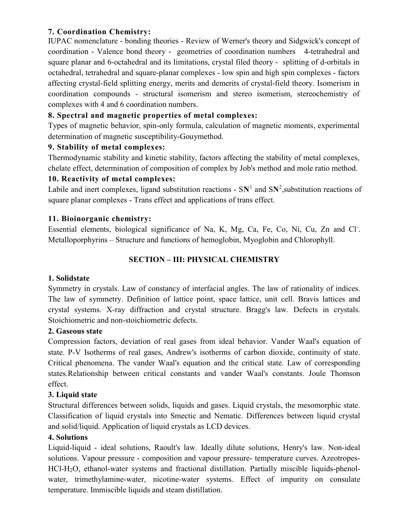# 7. Coordination Chemistry:

IUPAC nomenclature - bonding theories - Review of Werner's theory and Sidgwick's concept of coordination - Valence bond theory - geometries of coordination numbers 4-tetrahedral and square planar and 6-octahedral and its limitations, crystal filed theory - splitting of d-orbitals in octahedral, tetrahedral and square-planar complexes - low spin and high spin complexes - factors affecting crystal-field splitting energy, merits and demerits of crystal-field theory. Isomerism in coordination compounds - structural isomerism and stereo isomerism, stereochemistry of complexes with 4 and 6 coordination numbers.

# 8. Spectral and magnetic properties of metal complexes:

Types of magnetic behavior, spin-only formula, calculation of magnetic moments, experimental determination of magnetic susceptibility-Gouymethod.

# 9. Stability of metal complexes:

Thermodynamic stability and kinetic stability, factors affecting the stability of metal complexes, chelate effect, determination of composition of complex by Job's method and mole ratio method.

# 10. Reactivity of metal complexes:

Labile and inert complexes, ligand substitution reactions -  $SN<sup>1</sup>$  and  $SN<sup>2</sup>$ , substitution reactions of square planar complexes - Trans effect and applications of trans effect.

# 11. Bioinorganic chemistry:

Essential elements, biological significance of Na, K, Mg, Ca, Fe, Co, Ni, Cu, Zn and Cl. Metalloporphyrins – Structure and functions of hemoglobin, Myoglobin and Chlorophyll.

# SECTION – III: PHYSICAL CHEMISTRY

# 1. Solidstate

Symmetry in crystals. Law of constancy of interfacial angles. The law of rationality of indices. The law of symmetry. Definition of lattice point, space lattice, unit cell. Bravis lattices and crystal systems. X-ray diffraction and crystal structure. Bragg's law. Defects in crystals. Stoichiometric and non-stoichiometric defects.

# 2. Gaseous state

Compression factors, deviation of real gases from ideal behavior. Vander Waal's equation of state. P-V Isotherms of real gases, Andrew's isotherms of carbon dioxide, continuity of state. Critical phenomena. The vander Waal's equation and the critical state. Law of corresponding states.Relationship between critical constants and vander Waal's constants. Joule Thomson effect.

# 3. Liquid state

Structural differences between solids, liquids and gases. Liquid crystals, the mesomorphic state. Classification of liquid crystals into Smectic and Nematic. Differences between liquid crystal and solid/liquid. Application of liquid crystals as LCD devices.

#### 4. Solutions

Liquid-liquid - ideal solutions, Raoult's law. Ideally dilute solutions, Henry's law. Non-ideal solutions. Vapour pressure - composition and vapour pressure- temperature curves. Azeotropes-HCl-H2O, ethanol-water systems and fractional distillation. Partially miscible liquids-phenolwater, trimethylamine-water, nicotine-water systems. Effect of impurity on consulate temperature. Immiscible liquids and steam distillation.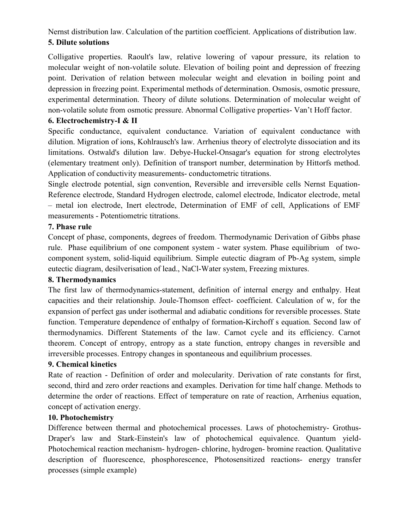# Nernst distribution law. Calculation of the partition coefficient. Applications of distribution law. 5. Dilute solutions

Colligative properties. Raoult's law, relative lowering of vapour pressure, its relation to molecular weight of non-volatile solute. Elevation of boiling point and depression of freezing point. Derivation of relation between molecular weight and elevation in boiling point and depression in freezing point. Experimental methods of determination. Osmosis, osmotic pressure, experimental determination. Theory of dilute solutions. Determination of molecular weight of non-volatile solute from osmotic pressure. Abnormal Colligative properties- Van't Hoff factor.

# 6. Electrochemistry-I & II

Specific conductance, equivalent conductance. Variation of equivalent conductance with dilution. Migration of ions, Kohlrausch's law. Arrhenius theory of electrolyte dissociation and its limitations. Ostwald's dilution law. Debye-Huckel-Onsagar's equation for strong electrolytes (elementary treatment only). Definition of transport number, determination by Hittorfs method. Application of conductivity measurements- conductometric titrations.

Single electrode potential, sign convention, Reversible and irreversible cells Nernst Equation-Reference electrode, Standard Hydrogen electrode, calomel electrode, Indicator electrode, metal – metal ion electrode, Inert electrode, Determination of EMF of cell, Applications of EMF measurements - Potentiometric titrations.

# 7. Phase rule

Concept of phase, components, degrees of freedom. Thermodynamic Derivation of Gibbs phase rule. Phase equilibrium of one component system - water system. Phase equilibrium of twocomponent system, solid-liquid equilibrium. Simple eutectic diagram of Pb-Ag system, simple eutectic diagram, desilverisation of lead., NaCl-Water system, Freezing mixtures.

# 8. Thermodynamics

The first law of thermodynamics-statement, definition of internal energy and enthalpy. Heat capacities and their relationship. Joule-Thomson effect- coefficient. Calculation of w, for the expansion of perfect gas under isothermal and adiabatic conditions for reversible processes. State function. Temperature dependence of enthalpy of formation-Kirchoff s equation. Second law of thermodynamics. Different Statements of the law. Carnot cycle and its efficiency. Carnot theorem. Concept of entropy, entropy as a state function, entropy changes in reversible and irreversible processes. Entropy changes in spontaneous and equilibrium processes.

# 9. Chemical kinetics

Rate of reaction - Definition of order and molecularity. Derivation of rate constants for first, second, third and zero order reactions and examples. Derivation for time half change. Methods to determine the order of reactions. Effect of temperature on rate of reaction, Arrhenius equation, concept of activation energy.

# 10. Photochemistry

Difference between thermal and photochemical processes. Laws of photochemistry- Grothus-Draper's law and Stark-Einstein's law of photochemical equivalence. Quantum yield-Photochemical reaction mechanism- hydrogen- chlorine, hydrogen- bromine reaction. Qualitative description of fluorescence, phosphorescence, Photosensitized reactions- energy transfer processes (simple example)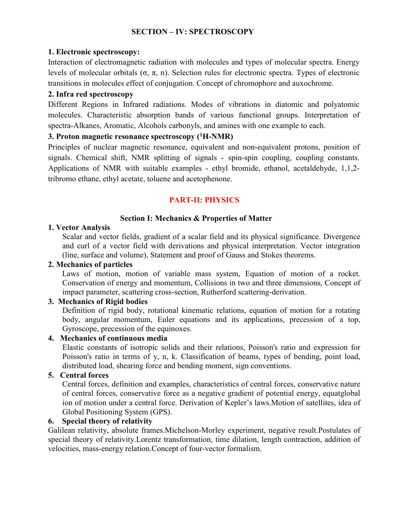# SECTION – IV: SPECTROSCOPY

#### 1. Electronic spectroscopy:

Interaction of electromagnetic radiation with molecules and types of molecular spectra. Energy levels of molecular orbitals (σ, π, n). Selection rules for electronic spectra. Types of electronic transitions in molecules effect of conjugation. Concept of chromophore and auxochrome.

#### 2. Infra red spectroscopy

Different Regions in Infrared radiations. Modes of vibrations in diatomic and polyatomic molecules. Characteristic absorption bands of various functional groups. Interpretation of spectra-Alkanes, Aromatic, Alcohols carbonyls, and amines with one example to each.

#### 3. Proton magnetic resonance spectroscopy  $(^1H\text{-}NMR)$

Principles of nuclear magnetic resonance, equivalent and non-equivalent protons, position of signals. Chemical shift, NMR splitting of signals - spin-spin coupling, coupling constants. Applications of NMR with suitable examples - ethyl bromide, ethanol, acetaldehyde, 1,1,2 tribromo ethane, ethyl acetate, toluene and acetophenone.

# PART-II: PHYSICS

#### Section I: Mechanics & Properties of Matter

#### 1. Vector Analysis

Scalar and vector fields, gradient of a scalar field and its physical significance. Divergence and curl of a vector field with derivations and physical interpretation. Vector integration (line, surface and volume), Statement and proof of Gauss and Stokes theorems.

#### 2. Mechanics of particles

 Laws of motion, motion of variable mass system, Equation of motion of a rocket. Conservation of energy and momentum, Collisions in two and three dimensions, Concept of impact parameter, scattering cross-section, Rutherford scattering-derivation.

# 3. Mechanics of Rigid bodies

Definition of rigid body, rotational kinematic relations, equation of motion for a rotating body, angular momentum, Euler equations and its applications, precession of a top, Gyroscope, precession of the equinoxes.

#### 4. Mechanics of continuous media

Elastic constants of isotropic solids and their relations, Poisson's ratio and expression for Poisson's ratio in terms of y, n, k. Classification of beams, types of bending, point load, distributed load, shearing force and bending moment, sign conventions.

#### 5. Central forces

Central forces, definition and examples, characteristics of central forces, conservative nature of central forces, conservative force as a negative gradient of potential energy, equatglobal ion of motion under a central force. Derivation of Kepler's laws.Motion of satellites, idea of Global Positioning System (GPS).

#### 6. Special theory of relativity

Galilean relativity, absolute frames.Michelson-Morley experiment, negative result.Postulates of special theory of relativity.Lorentz transformation, time dilation, length contraction, addition of velocities, mass-energy relation.Concept of four-vector formalism.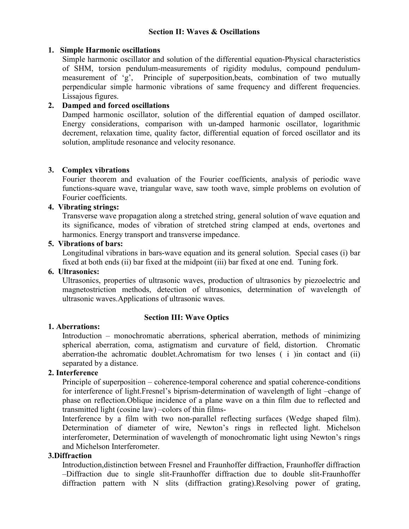#### Section II: Waves & Oscillations

#### 1. Simple Harmonic oscillations

Simple harmonic oscillator and solution of the differential equation-Physical characteristics of SHM, torsion pendulum-measurements of rigidity modulus, compound pendulummeasurement of 'g', Principle of superposition,beats, combination of two mutually perpendicular simple harmonic vibrations of same frequency and different frequencies. Lissajous figures.

#### 2. Damped and forced oscillations

Damped harmonic oscillator, solution of the differential equation of damped oscillator. Energy considerations, comparison with un-damped harmonic oscillator, logarithmic decrement, relaxation time, quality factor, differential equation of forced oscillator and its solution, amplitude resonance and velocity resonance.

#### 3. Complex vibrations

Fourier theorem and evaluation of the Fourier coefficients, analysis of periodic wave functions-square wave, triangular wave, saw tooth wave, simple problems on evolution of Fourier coefficients.

#### 4. Vibrating strings:

Transverse wave propagation along a stretched string, general solution of wave equation and its significance, modes of vibration of stretched string clamped at ends, overtones and harmonics. Energy transport and transverse impedance.

#### 5. Vibrations of bars:

Longitudinal vibrations in bars-wave equation and its general solution. Special cases (i) bar fixed at both ends (ii) bar fixed at the midpoint (iii) bar fixed at one end. Tuning fork.

#### 6. Ultrasonics:

Ultrasonics, properties of ultrasonic waves, production of ultrasonics by piezoelectric and magnetostriction methods, detection of ultrasonics, determination of wavelength of ultrasonic waves.Applications of ultrasonic waves.

#### Section III: Wave Optics

#### 1. Aberrations:

Introduction – monochromatic aberrations, spherical aberration, methods of minimizing spherical aberration, coma, astigmatism and curvature of field, distortion. Chromatic aberration-the achromatic doublet.Achromatism for two lenses ( i )in contact and (ii) separated by a distance.

### 2. Interference

Principle of superposition – coherence-temporal coherence and spatial coherence-conditions for interference of light.Fresnel's biprism-determination of wavelength of light –change of phase on reflection.Oblique incidence of a plane wave on a thin film due to reflected and transmitted light (cosine law) –colors of thin films-

Interference by a film with two non-parallel reflecting surfaces (Wedge shaped film). Determination of diameter of wire, Newton's rings in reflected light. Michelson interferometer, Determination of wavelength of monochromatic light using Newton's rings and Michelson Interferometer.

### 3.Diffraction

Introduction,distinction between Fresnel and Fraunhoffer diffraction, Fraunhoffer diffraction –Diffraction due to single slit-Fraunhoffer diffraction due to double slit-Fraunhoffer diffraction pattern with N slits (diffraction grating).Resolving power of grating,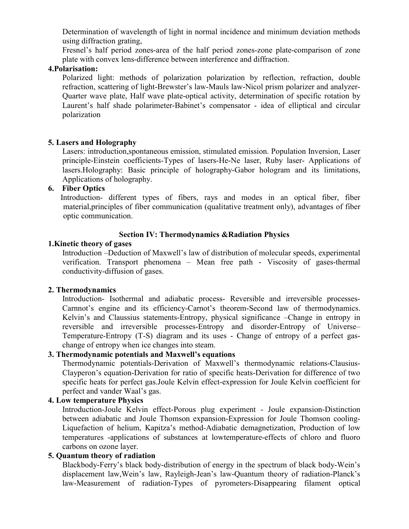Determination of wavelength of light in normal incidence and minimum deviation methods using diffraction grating,

Fresnel's half period zones-area of the half period zones-zone plate-comparison of zone plate with convex lens-difference between interference and diffraction.

#### 4.Polarisation:

Polarized light: methods of polarization polarization by reflection, refraction, double refraction, scattering of light-Brewster's law-Mauls law-Nicol prism polarizer and analyzer-Quarter wave plate, Half wave plate-optical activity, determination of specific rotation by Laurent's half shade polarimeter-Babinet's compensator - idea of elliptical and circular polarization

#### 5. Lasers and Holography

Lasers: introduction,spontaneous emission, stimulated emission. Population Inversion, Laser principle-Einstein coefficients-Types of lasers-He-Ne laser, Ruby laser- Applications of lasers.Holography: Basic principle of holography-Gabor hologram and its limitations, Applications of holography.

# 6. Fiber Optics

Introduction- different types of fibers, rays and modes in an optical fiber, fiber material,principles of fiber communication (qualitative treatment only), advantages of fiber optic communication.

#### Section IV: Thermodynamics &Radiation Physics

#### 1.Kinetic theory of gases

Introduction –Deduction of Maxwell's law of distribution of molecular speeds, experimental verification. Transport phenomena – Mean free path - Viscosity of gases-thermal conductivity-diffusion of gases.

#### 2. Thermodynamics

Introduction- Isothermal and adiabatic process- Reversible and irreversible processes-Carnnot's engine and its efficiency-Carnot's theorem-Second law of thermodynamics. Kelvin's and Claussius statements-Entropy, physical significance –Change in entropy in reversible and irreversible processes-Entropy and disorder-Entropy of Universe– Temperature-Entropy (T-S) diagram and its uses - Change of entropy of a perfect gaschange of entropy when ice changes into steam.

#### 3. Thermodynamic potentials and Maxwell's equations

Thermodynamic potentials-Derivation of Maxwell's thermodynamic relations-Clausius-Clayperon's equation-Derivation for ratio of specific heats-Derivation for difference of two specific heats for perfect gas.Joule Kelvin effect-expression for Joule Kelvin coefficient for perfect and vander Waal's gas.

#### 4. Low temperature Physics

Introduction-Joule Kelvin effect-Porous plug experiment - Joule expansion-Distinction between adiabatic and Joule Thomson expansion-Expression for Joule Thomson cooling-Liquefaction of helium, Kapitza's method-Adiabatic demagnetization, Production of low temperatures -applications of substances at lowtemperature-effects of chloro and fluoro carbons on ozone layer.

### 5. Quantum theory of radiation

Blackbody-Ferry's black body-distribution of energy in the spectrum of black body-Wein's displacement law,Wein's law, Rayleigh-Jean's law-Quantum theory of radiation-Planck's law-Measurement of radiation-Types of pyrometers-Disappearing filament optical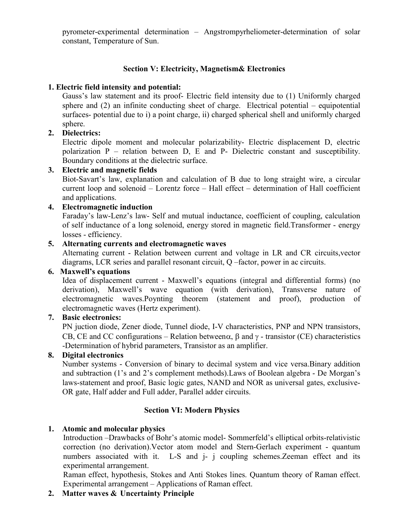pyrometer-experimental determination – Angstrompyrheliometer-determination of solar constant, Temperature of Sun.

# Section V: Electricity, Magnetism& Electronics

# 1. Electric field intensity and potential:

Gauss's law statement and its proof- Electric field intensity due to (1) Uniformly charged sphere and (2) an infinite conducting sheet of charge. Electrical potential – equipotential surfaces- potential due to i) a point charge, ii) charged spherical shell and uniformly charged sphere.

# 2. Dielectrics:

Electric dipole moment and molecular polarizability- Electric displacement D, electric polarization P – relation between D, E and P- Dielectric constant and susceptibility. Boundary conditions at the dielectric surface.

# 3. Electric and magnetic fields

Biot-Savart's law, explanation and calculation of B due to long straight wire, a circular current loop and solenoid – Lorentz force – Hall effect – determination of Hall coefficient and applications.

# 4. Electromagnetic induction

Faraday's law-Lenz's law- Self and mutual inductance, coefficient of coupling, calculation of self inductance of a long solenoid, energy stored in magnetic field.Transformer - energy losses - efficiency.

# 5. Alternating currents and electromagnetic waves

Alternating current - Relation between current and voltage in LR and CR circuits,vector diagrams, LCR series and parallel resonant circuit, Q –factor, power in ac circuits.

# 6. Maxwell's equations

Idea of displacement current - Maxwell's equations (integral and differential forms) (no derivation), Maxwell's wave equation (with derivation), Transverse nature of electromagnetic waves.Poynting theorem (statement and proof), production of electromagnetic waves (Hertz experiment).

# 7. Basic electronics:

PN juction diode, Zener diode, Tunnel diode, I-V characteristics, PNP and NPN transistors, CB, CE and CC configurations – Relation between $\alpha$ ,  $\beta$  and  $\gamma$  - transistor (CE) characteristics -Determination of hybrid parameters, Transistor as an amplifier.

# 8. Digital electronics

Number systems - Conversion of binary to decimal system and vice versa.Binary addition and subtraction (1's and 2's complement methods).Laws of Boolean algebra - De Morgan's laws-statement and proof, Basic logic gates, NAND and NOR as universal gates, exclusive-OR gate, Half adder and Full adder, Parallel adder circuits.

# Section VI: Modern Physics

# 1. Atomic and molecular physics

Introduction –Drawbacks of Bohr's atomic model- Sommerfeld's elliptical orbits-relativistic correction (no derivation).Vector atom model and Stern-Gerlach experiment - quantum numbers associated with it. L-S and *i- j* coupling schemes. Zeeman effect and its experimental arrangement.

Raman effect, hypothesis, Stokes and Anti Stokes lines. Quantum theory of Raman effect. Experimental arrangement – Applications of Raman effect.

# 2. Matter waves & Uncertainty Principle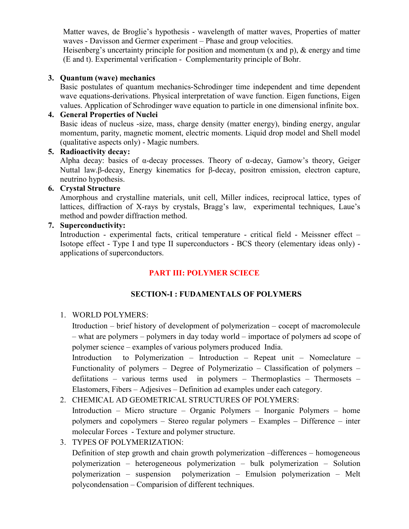Matter waves, de Broglie's hypothesis - wavelength of matter waves, Properties of matter waves - Davisson and Germer experiment – Phase and group velocities.

Heisenberg's uncertainty principle for position and momentum (x and p), & energy and time (E and t). Experimental verification - Complementarity principle of Bohr.

#### 3. Quantum (wave) mechanics

Basic postulates of quantum mechanics-Schrodinger time independent and time dependent wave equations-derivations. Physical interpretation of wave function. Eigen functions, Eigen values. Application of Schrodinger wave equation to particle in one dimensional infinite box.

#### 4. General Properties of Nuclei

Basic ideas of nucleus -size, mass, charge density (matter energy), binding energy, angular momentum, parity, magnetic moment, electric moments. Liquid drop model and Shell model (qualitative aspects only) - Magic numbers.

#### 5. Radioactivity decay:

Alpha decay: basics of α-decay processes. Theory of α-decay, Gamow's theory, Geiger Nuttal law.β-decay, Energy kinematics for β-decay, positron emission, electron capture, neutrino hypothesis.

#### 6. Crystal Structure

Amorphous and crystalline materials, unit cell, Miller indices, reciprocal lattice, types of lattices, diffraction of X-rays by crystals, Bragg's law, experimental techniques, Laue's method and powder diffraction method.

#### 7. Superconductivity:

Introduction - experimental facts, critical temperature - critical field - Meissner effect – Isotope effect - Type I and type II superconductors - BCS theory (elementary ideas only) applications of superconductors.

# PART III: POLYMER SCIECE

# SECTION-I : FUDAMENTALS OF POLYMERS

# 1. WORLD POLYMERS:

Itroduction – brief history of development of polymerization – cocept of macromolecule – what are polymers – polymers in day today world – importace of polymers ad scope of polymer science – examples of various polymers produced India.

Introduction to Polymerization – Introduction – Repeat unit – Nomeclature – Functionality of polymers – Degree of Polymerizatio – Classification of polymers – defiitations – various terms used in polymers – Thermoplastics – Thermosets – Elastomers, Fibers – Adjesives – Definition ad examples under each category.

# 2. CHEMICAL AD GEOMETRICAL STRUCTURES OF POLYMERS:

Introduction – Micro structure – Organic Polymers – Inorganic Polymers – home polymers and copolymers – Stereo regular polymers – Examples – Difference – inter molecular Forces - Texture and polymer structure.

# 3. TYPES OF POLYMERIZATION:

Definition of step growth and chain growth polymerization –differences – homogeneous polymerization – heterogeneous polymerization – bulk polymerization – Solution polymerization – suspension polymerization – Emulsion polymerization – Melt polycondensation – Comparision of different techniques.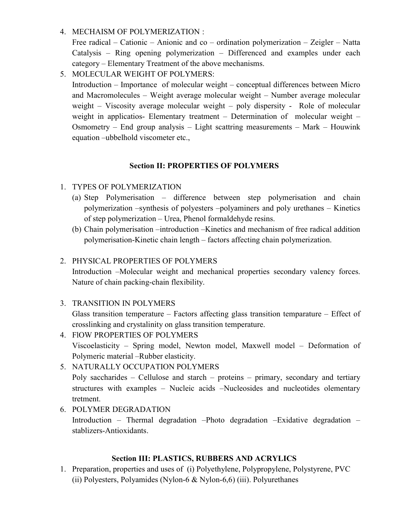4. MECHAISM OF POLYMERIZATION :

Free radical – Cationic – Anionic and co – ordination polymerization – Zeigler – Natta Catalysis – Ring opening polymerization – Differenced and examples under each category – Elementary Treatment of the above mechanisms.

5. MOLECULAR WEIGHT OF POLYMERS:

Introduction – Importance of molecular weight – conceptual differences between Micro and Macromolecules – Weight average molecular weight – Number average molecular weight – Viscosity average molecular weight – poly dispersity - Role of molecular weight in applicatios- Elementary treatment – Determination of molecular weight – Osmometry – End group analysis – Light scattring measurements – Mark – Houwink equation –ubbelhold viscometer etc.,

# Section II: PROPERTIES OF POLYMERS

# 1. TYPES OF POLYMERIZATION

- (a) Step Polymerisation difference between step polymerisation and chain polymerization –synthesis of polyesters –polyaminers and poly urethanes – Kinetics of step polymerization – Urea, Phenol formaldehyde resins.
- (b) Chain polymerisation –introduction –Kinetics and mechanism of free radical addition polymerisation-Kinetic chain length – factors affecting chain polymerization.

# 2. PHYSICAL PROPERTIES OF POLYMERS

Introduction –Molecular weight and mechanical properties secondary valency forces. Nature of chain packing-chain flexibility.

3. TRANSITION IN POLYMERS

Glass transition temperature – Factors affecting glass transition temparature – Effect of crosslinking and crystalinity on glass transition temperature.

- 4. FlOW PROPERTIES OF POLYMERS Viscoelasticity – Spring model, Newton model, Maxwell model – Deformation of Polymeric material –Rubber elasticity.
- 5. NATURALLY OCCUPATION POLYMERS

Poly saccharides – Cellulose and starch – proteins – primary, secondary and tertiary structures with examples – Nucleic acids –Nucleosides and nucleotides olementary tretment.

6. POLYMER DEGRADATION Introduction – Thermal degradation –Photo degradation –Exidative degradation – stablizers-Antioxidants.

# Section III: PLASTICS, RUBBERS AND ACRYLICS

1. Preparation, properties and uses of (i) Polyethylene, Polypropylene, Polystyrene, PVC (ii) Polyesters, Polyamides (Nylon-6 & Nylon-6,6) (iii). Polyurethanes